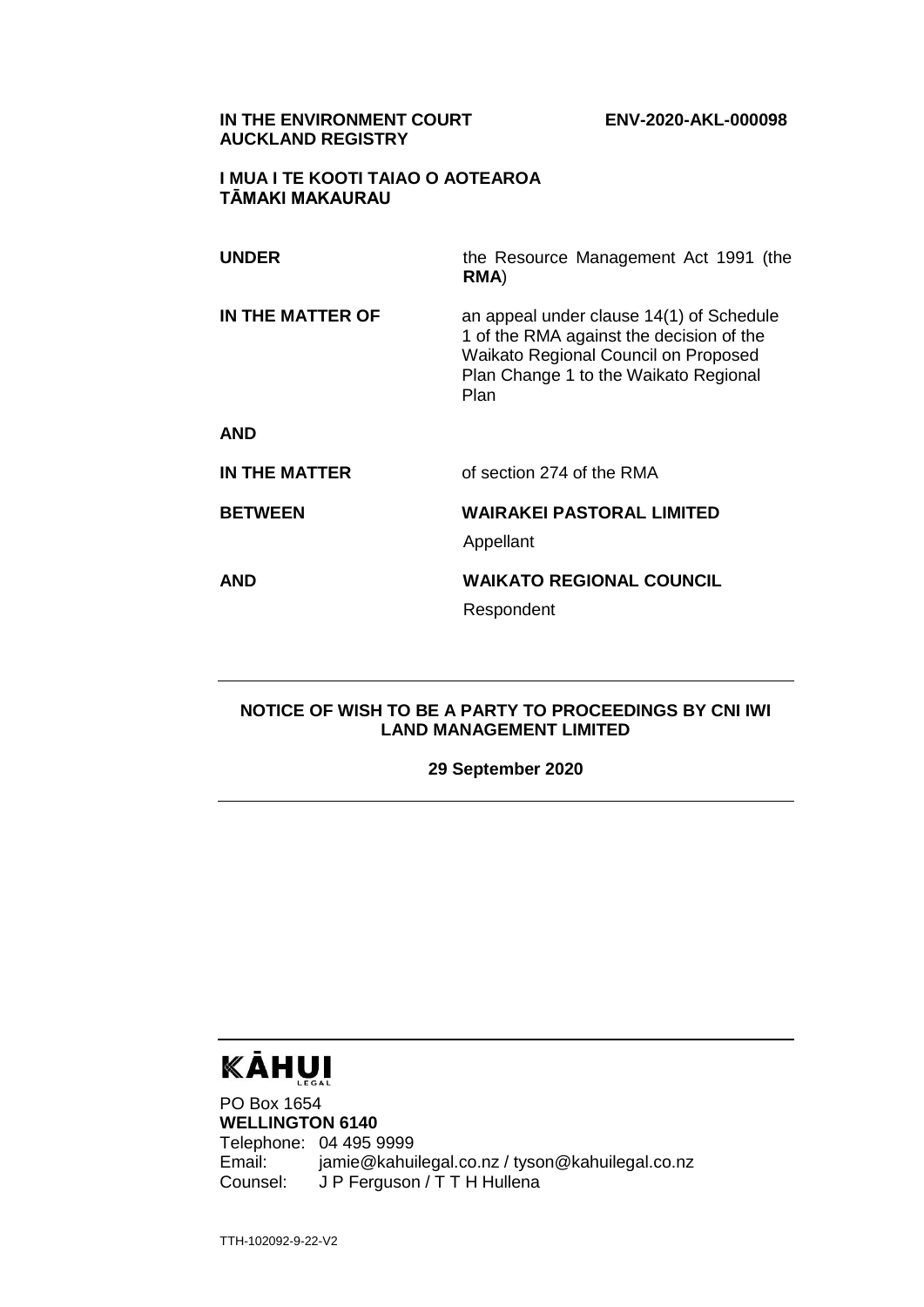#### **IN THE ENVIRONMENT COURT ENV-2020-AKL-000098 AUCKLAND REGISTRY**

#### **I MUA I TE KOOTI TAIAO O AOTEAROA TĀMAKI MAKAURAU**

| <b>UNDER</b>     | the Resource Management Act 1991 (the<br>RMA)                                                                                                                                 |
|------------------|-------------------------------------------------------------------------------------------------------------------------------------------------------------------------------|
| IN THE MATTER OF | an appeal under clause 14(1) of Schedule<br>1 of the RMA against the decision of the<br>Waikato Regional Council on Proposed<br>Plan Change 1 to the Waikato Regional<br>Plan |
| <b>AND</b>       |                                                                                                                                                                               |
| IN THE MATTER    | of section 274 of the RMA                                                                                                                                                     |
| <b>BETWEEN</b>   | <b>WAIRAKEI PASTORAL LIMITED</b><br>Appellant                                                                                                                                 |
| <b>AND</b>       | <b>WAIKATO REGIONAL COUNCIL</b><br>Respondent                                                                                                                                 |

#### **NOTICE OF WISH TO BE A PARTY TO PROCEEDINGS BY CNI IWI LAND MANAGEMENT LIMITED**

**29 September 2020**

# KĀHUI

PO Box 1654 **WELLINGTON 6140** Telephone: 04 495 9999 Email: jamie@kahuilegal.co.nz / tyson@kahuilegal.co.nz Counsel: J P Ferguson / T T H Hullena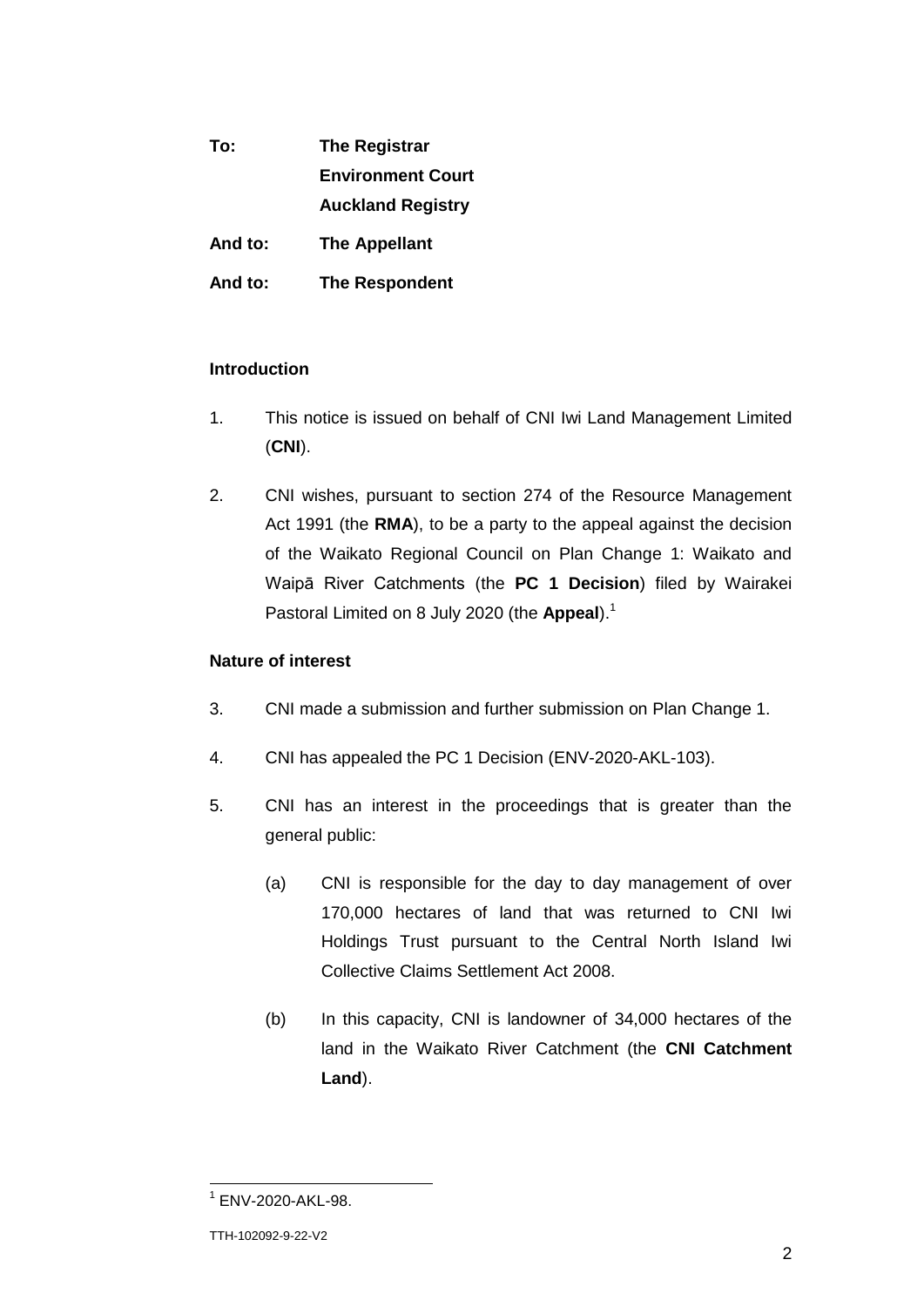| To:     | <b>The Registrar</b>     |
|---------|--------------------------|
|         | <b>Environment Court</b> |
|         | <b>Auckland Registry</b> |
| And to: | <b>The Appellant</b>     |
| And to: | <b>The Respondent</b>    |

### **Introduction**

- 1. This notice is issued on behalf of CNI Iwi Land Management Limited (**CNI**).
- 2. CNI wishes, pursuant to section 274 of the Resource Management Act 1991 (the **RMA**), to be a party to the appeal against the decision of the Waikato Regional Council on Plan Change 1: Waikato and Waipā River Catchments (the **PC 1 Decision**) filed by Wairakei Pastoral Limited on 8 July 2020 (the Appeal).<sup>1</sup>

#### **Nature of interest**

- 3. CNI made a submission and further submission on Plan Change 1.
- 4. CNI has appealed the PC 1 Decision (ENV-2020-AKL-103).
- 5. CNI has an interest in the proceedings that is greater than the general public:
	- (a) CNI is responsible for the day to day management of over 170,000 hectares of land that was returned to CNI Iwi Holdings Trust pursuant to the Central North Island Iwi Collective Claims Settlement Act 2008.
	- (b) In this capacity, CNI is landowner of 34,000 hectares of the land in the Waikato River Catchment (the **CNI Catchment Land**).

 1 ENV-2020-AKL-98.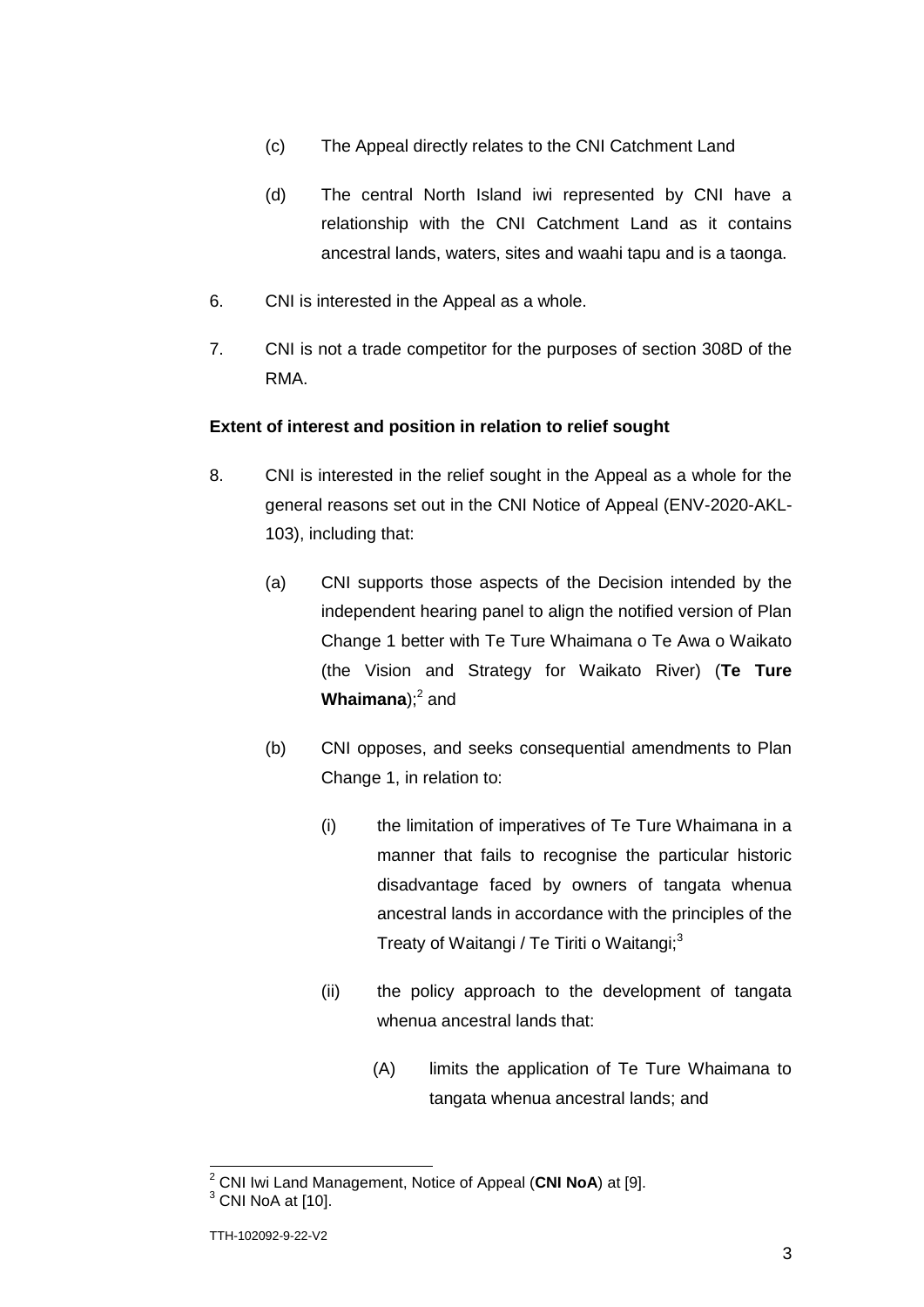- (c) The Appeal directly relates to the CNI Catchment Land
- (d) The central North Island iwi represented by CNI have a relationship with the CNI Catchment Land as it contains ancestral lands, waters, sites and waahi tapu and is a taonga.
- 6. CNI is interested in the Appeal as a whole.
- 7. CNI is not a trade competitor for the purposes of section 308D of the RMA.

#### **Extent of interest and position in relation to relief sought**

- 8. CNI is interested in the relief sought in the Appeal as a whole for the general reasons set out in the CNI Notice of Appeal (ENV-2020-AKL-103), including that:
	- (a) CNI supports those aspects of the Decision intended by the independent hearing panel to align the notified version of Plan Change 1 better with Te Ture Whaimana o Te Awa o Waikato (the Vision and Strategy for Waikato River) (**Te Ture Whaimana**);<sup>2</sup> and
	- (b) CNI opposes, and seeks consequential amendments to Plan Change 1, in relation to:
		- (i) the limitation of imperatives of Te Ture Whaimana in a manner that fails to recognise the particular historic disadvantage faced by owners of tangata whenua ancestral lands in accordance with the principles of the Treaty of Waitangi / Te Tiriti o Waitangi;<sup>3</sup>
		- (ii) the policy approach to the development of tangata whenua ancestral lands that:
			- (A) limits the application of Te Ture Whaimana to tangata whenua ancestral lands; and

<sup>2</sup> CNI Iwi Land Management, Notice of Appeal (**CNI NoA**) at [9].

 $3$  CNI NoA at [10].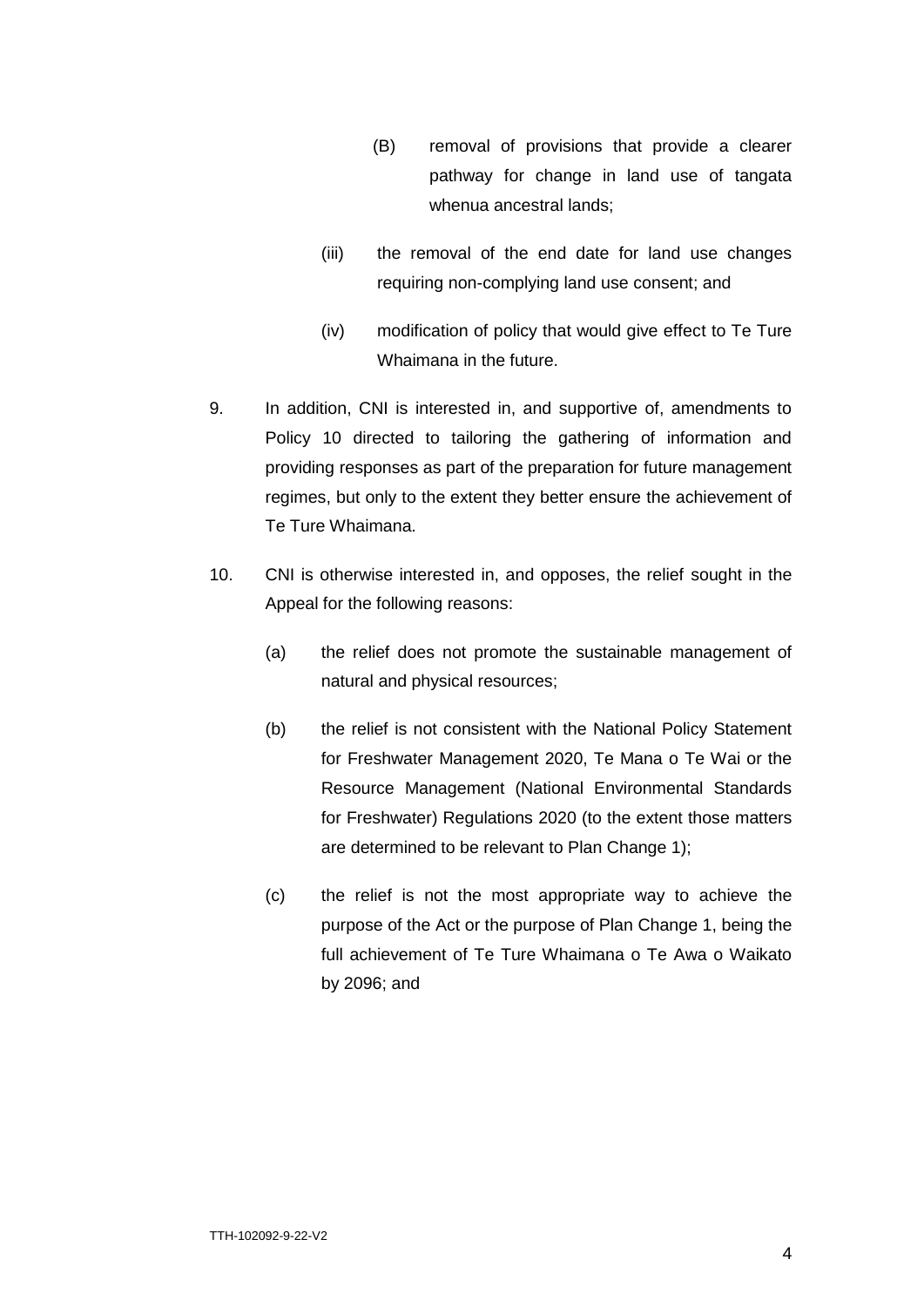- (B) removal of provisions that provide a clearer pathway for change in land use of tangata whenua ancestral lands;
- (iii) the removal of the end date for land use changes requiring non-complying land use consent; and
- (iv) modification of policy that would give effect to Te Ture Whaimana in the future.
- 9. In addition, CNI is interested in, and supportive of, amendments to Policy 10 directed to tailoring the gathering of information and providing responses as part of the preparation for future management regimes, but only to the extent they better ensure the achievement of Te Ture Whaimana.
- 10. CNI is otherwise interested in, and opposes, the relief sought in the Appeal for the following reasons:
	- (a) the relief does not promote the sustainable management of natural and physical resources;
	- (b) the relief is not consistent with the National Policy Statement for Freshwater Management 2020, Te Mana o Te Wai or the Resource Management (National Environmental Standards for Freshwater) Regulations 2020 (to the extent those matters are determined to be relevant to Plan Change 1);
	- (c) the relief is not the most appropriate way to achieve the purpose of the Act or the purpose of Plan Change 1, being the full achievement of Te Ture Whaimana o Te Awa o Waikato by 2096; and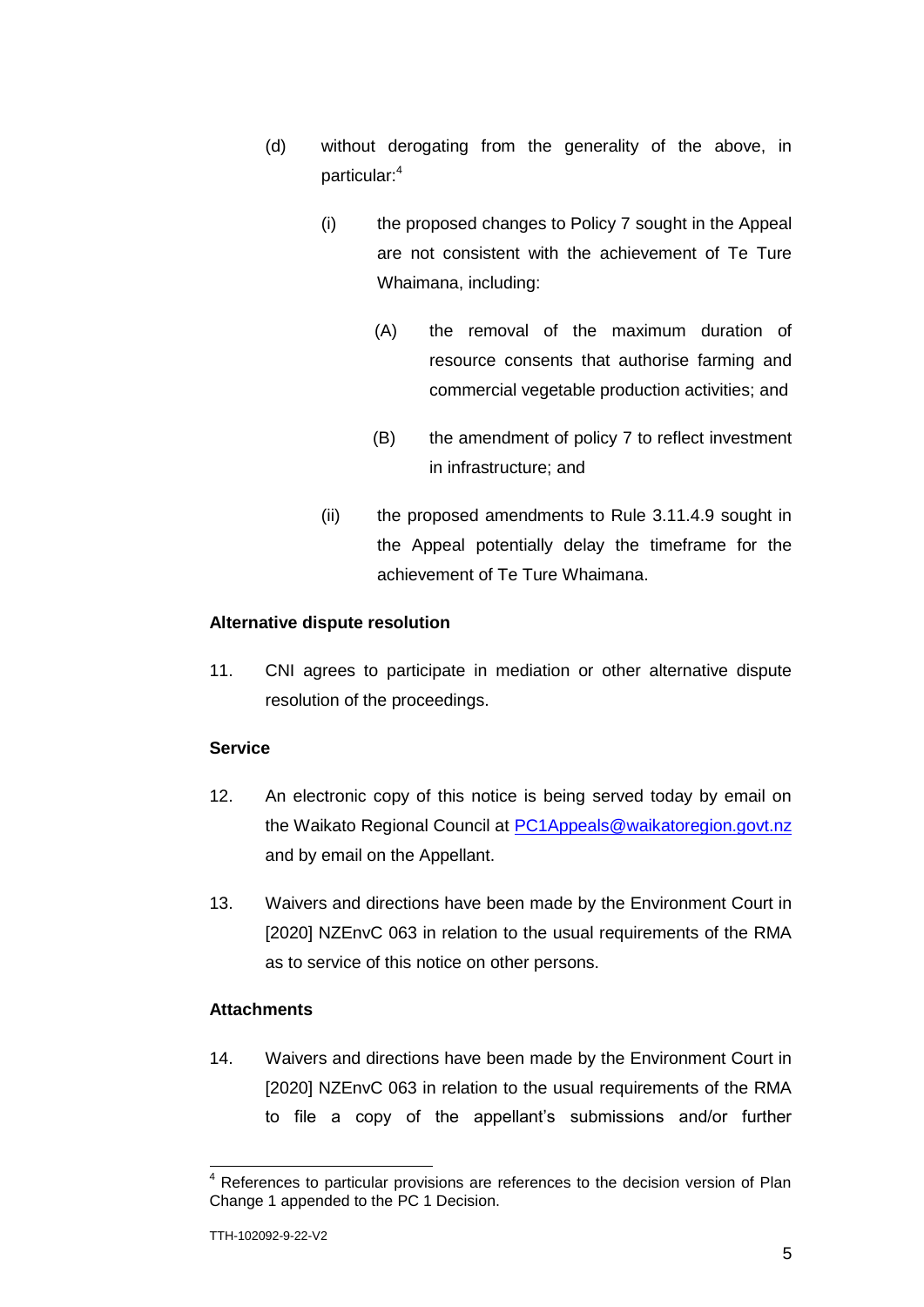- (d) without derogating from the generality of the above, in particular:<sup>4</sup>
	- (i) the proposed changes to Policy 7 sought in the Appeal are not consistent with the achievement of Te Ture Whaimana, including:
		- (A) the removal of the maximum duration of resource consents that authorise farming and commercial vegetable production activities; and
		- (B) the amendment of policy 7 to reflect investment in infrastructure; and
	- (ii) the proposed amendments to Rule 3.11.4.9 sought in the Appeal potentially delay the timeframe for the achievement of Te Ture Whaimana.

## **Alternative dispute resolution**

11. CNI agrees to participate in mediation or other alternative dispute resolution of the proceedings.

#### **Service**

- 12. An electronic copy of this notice is being served today by email on the Waikato Regional Council at [PC1Appeals@waikatoregion.govt.nz](mailto:PC1Appeals@waikatoregion.govt.nz) and by email on the Appellant.
- 13. Waivers and directions have been made by the Environment Court in [2020] NZEnvC 063 in relation to the usual requirements of the RMA as to service of this notice on other persons.

#### **Attachments**

14. Waivers and directions have been made by the Environment Court in [2020] NZEnvC 063 in relation to the usual requirements of the RMA to file a copy of the appellant's submissions and/or further

 $\overline{\phantom{a}}$ 

References to particular provisions are references to the decision version of Plan Change 1 appended to the PC 1 Decision.